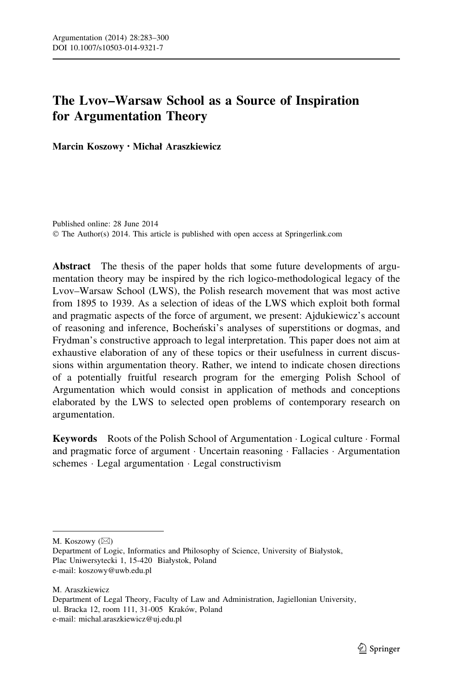# The Lvov–Warsaw School as a Source of Inspiration for Argumentation Theory

Marcin Koszowy • Michał Araszkiewicz

Published online: 28 June 2014 © The Author(s) 2014. This article is published with open access at Springerlink.com

Abstract The thesis of the paper holds that some future developments of argumentation theory may be inspired by the rich logico-methodological legacy of the Lvov–Warsaw School (LWS), the Polish research movement that was most active from 1895 to 1939. As a selection of ideas of the LWS which exploit both formal and pragmatic aspects of the force of argument, we present: Ajdukiewicz's account of reasoning and inference, Bochen´ski's analyses of superstitions or dogmas, and Frydman's constructive approach to legal interpretation. This paper does not aim at exhaustive elaboration of any of these topics or their usefulness in current discussions within argumentation theory. Rather, we intend to indicate chosen directions of a potentially fruitful research program for the emerging Polish School of Argumentation which would consist in application of methods and conceptions elaborated by the LWS to selected open problems of contemporary research on argumentation.

Keywords Roots of the Polish School of Argumentation · Logical culture · Formal and pragmatic force of argument · Uncertain reasoning · Fallacies · Argumentation schemes - Legal argumentation - Legal constructivism

M. Koszowy  $(\boxtimes)$ 

M. Araszkiewicz Department of Legal Theory, Faculty of Law and Administration, Jagiellonian University, ul. Bracka 12, room 111, 31-005 Kraków, Poland e-mail: michal.araszkiewicz@uj.edu.pl

Department of Logic, Informatics and Philosophy of Science, University of Białystok, Plac Uniwersytecki 1, 15-420 Białystok, Poland e-mail: koszowy@uwb.edu.pl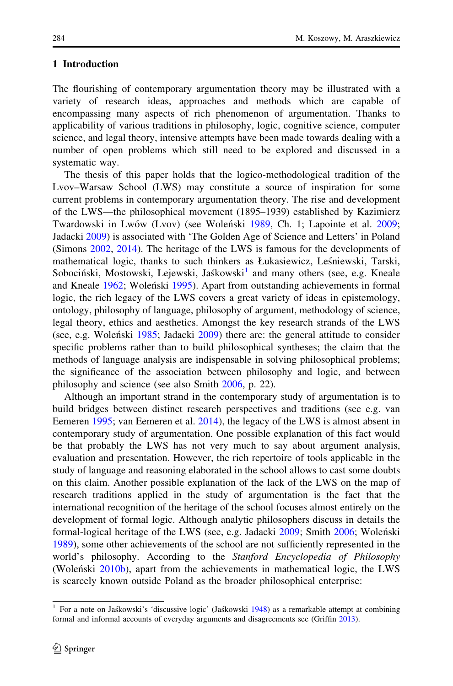### 1 Introduction

The flourishing of contemporary argumentation theory may be illustrated with a variety of research ideas, approaches and methods which are capable of encompassing many aspects of rich phenomenon of argumentation. Thanks to applicability of various traditions in philosophy, logic, cognitive science, computer science, and legal theory, intensive attempts have been made towards dealing with a number of open problems which still need to be explored and discussed in a systematic way.

The thesis of this paper holds that the logico-methodological tradition of the Lvov–Warsaw School (LWS) may constitute a source of inspiration for some current problems in contemporary argumentation theory. The rise and development of the LWS—the philosophical movement (1895–1939) established by Kazimierz Twardowski in Lwów (Lvov) (see Woleński [1989](#page-17-0), Ch. 1; Lapointe et al. [2009;](#page-15-0) Jadacki [2009\)](#page-15-0) is associated with 'The Golden Age of Science and Letters' in Poland (Simons [2002](#page-16-0), [2014](#page-16-0)). The heritage of the LWS is famous for the developments of mathematical logic, thanks to such thinkers as Łukasiewicz, Leśniewski, Tarski, Sobociński, Mostowski, Lejewski, Jaśkowski<sup>1</sup> and many others (see, e.g. Kneale and Kneale [1962;](#page-15-0) Wolenski [1995\)](#page-17-0). Apart from outstanding achievements in formal logic, the rich legacy of the LWS covers a great variety of ideas in epistemology, ontology, philosophy of language, philosophy of argument, methodology of science, legal theory, ethics and aesthetics. Amongst the key research strands of the LWS (see, e.g. Wolen<sup>ski 1985</sup>; Jadacki [2009](#page-15-0)) there are: the general attitude to consider specific problems rather than to build philosophical syntheses; the claim that the methods of language analysis are indispensable in solving philosophical problems; the significance of the association between philosophy and logic, and between philosophy and science (see also Smith [2006](#page-16-0), p. 22).

Although an important strand in the contemporary study of argumentation is to build bridges between distinct research perspectives and traditions (see e.g. van Eemeren [1995](#page-16-0); van Eemeren et al. [2014](#page-16-0)), the legacy of the LWS is almost absent in contemporary study of argumentation. One possible explanation of this fact would be that probably the LWS has not very much to say about argument analysis, evaluation and presentation. However, the rich repertoire of tools applicable in the study of language and reasoning elaborated in the school allows to cast some doubts on this claim. Another possible explanation of the lack of the LWS on the map of research traditions applied in the study of argumentation is the fact that the international recognition of the heritage of the school focuses almost entirely on the development of formal logic. Although analytic philosophers discuss in details the formal-logical heritage of the LWS (see, e.g. Jadacki [2009;](#page-15-0) Smith [2006](#page-16-0); Wolenski [1989\)](#page-17-0), some other achievements of the school are not sufficiently represented in the world's philosophy. According to the Stanford Encyclopedia of Philosophy (Wolen'ski [2010b\)](#page-17-0), apart from the achievements in mathematical logic, the LWS is scarcely known outside Poland as the broader philosophical enterprise:

<sup>&</sup>lt;sup>1</sup> For a note on Jaskowski's 'discussive logic' (Jaskowski [1948](#page-15-0)) as a remarkable attempt at combining formal and informal accounts of everyday arguments and disagreements see (Griffin [2013\)](#page-15-0).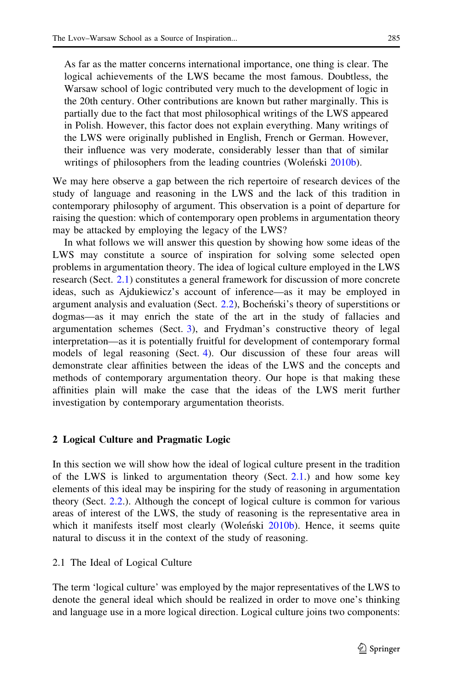As far as the matter concerns international importance, one thing is clear. The logical achievements of the LWS became the most famous. Doubtless, the Warsaw school of logic contributed very much to the development of logic in the 20th century. Other contributions are known but rather marginally. This is partially due to the fact that most philosophical writings of the LWS appeared in Polish. However, this factor does not explain everything. Many writings of the LWS were originally published in English, French or German. However, their influence was very moderate, considerably lesser than that of similar writings of philosophers from the leading countries (Wolenski [2010b\)](#page-17-0).

We may here observe a gap between the rich repertoire of research devices of the study of language and reasoning in the LWS and the lack of this tradition in contemporary philosophy of argument. This observation is a point of departure for raising the question: which of contemporary open problems in argumentation theory may be attacked by employing the legacy of the LWS?

In what follows we will answer this question by showing how some ideas of the LWS may constitute a source of inspiration for solving some selected open problems in argumentation theory. The idea of logical culture employed in the LWS research (Sect. 2.1) constitutes a general framework for discussion of more concrete ideas, such as Ajdukiewicz's account of inference—as it may be employed in argument analysis and evaluation (Sect. [2.2\)](#page-4-0), Bochen´ski's theory of superstitions or dogmas—as it may enrich the state of the art in the study of fallacies and argumentation schemes (Sect. [3](#page-6-0)), and Frydman's constructive theory of legal interpretation—as it is potentially fruitful for development of contemporary formal models of legal reasoning (Sect. [4\)](#page-9-0). Our discussion of these four areas will demonstrate clear affinities between the ideas of the LWS and the concepts and methods of contemporary argumentation theory. Our hope is that making these affinities plain will make the case that the ideas of the LWS merit further investigation by contemporary argumentation theorists.

### 2 Logical Culture and Pragmatic Logic

In this section we will show how the ideal of logical culture present in the tradition of the LWS is linked to argumentation theory (Sect. 2.1.) and how some key elements of this ideal may be inspiring for the study of reasoning in argumentation theory (Sect. [2.2.](#page-4-0)). Although the concept of logical culture is common for various areas of interest of the LWS, the study of reasoning is the representative area in which it manifests itself most clearly (Wolen'ski  $2010b$ ). Hence, it seems quite natural to discuss it in the context of the study of reasoning.

### 2.1 The Ideal of Logical Culture

The term 'logical culture' was employed by the major representatives of the LWS to denote the general ideal which should be realized in order to move one's thinking and language use in a more logical direction. Logical culture joins two components: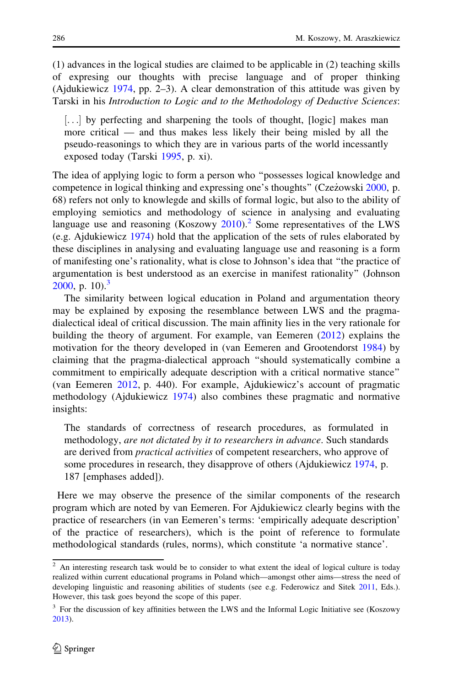(1) advances in the logical studies are claimed to be applicable in (2) teaching skills of expresing our thoughts with precise language and of proper thinking (Ajdukiewicz [1974](#page-14-0), pp. 2–3). A clear demonstration of this attitude was given by Tarski in his Introduction to Logic and to the Methodology of Deductive Sciences:

[...] by perfecting and sharpening the tools of thought, [logic] makes man more critical — and thus makes less likely their being misled by all the pseudo-reasonings to which they are in various parts of the world incessantly exposed today (Tarski [1995](#page-16-0), p. xi).

The idea of applying logic to form a person who ''possesses logical knowledge and competence in logical thinking and expressing one's thoughts" (Czeżowski [2000](#page-15-0), p. 68) refers not only to knowlegde and skills of formal logic, but also to the ability of employing semiotics and methodology of science in analysing and evaluating language use and reasoning (Koszowy  $2010$ ).<sup>2</sup> Some representatives of the LWS (e.g. Ajdukiewicz [1974](#page-14-0)) hold that the application of the sets of rules elaborated by these disciplines in analysing and evaluating language use and reasoning is a form of manifesting one's rationality, what is close to Johnson's idea that ''the practice of argumentation is best understood as an exercise in manifest rationality'' (Johnson [2000,](#page-15-0) p. 10).<sup>3</sup>

The similarity between logical education in Poland and argumentation theory may be explained by exposing the resemblance between LWS and the pragmadialectical ideal of critical discussion. The main affinity lies in the very rationale for building the theory of argument. For example, van Eemeren [\(2012](#page-16-0)) explains the motivation for the theory developed in (van Eemeren and Grootendorst [1984](#page-16-0)) by claiming that the pragma-dialectical approach ''should systematically combine a commitment to empirically adequate description with a critical normative stance'' (van Eemeren [2012,](#page-16-0) p. 440). For example, Ajdukiewicz's account of pragmatic methodology (Ajdukiewicz [1974](#page-14-0)) also combines these pragmatic and normative insights:

The standards of correctness of research procedures, as formulated in methodology, are not dictated by it to researchers in advance. Such standards are derived from practical activities of competent researchers, who approve of some procedures in research, they disapprove of others (Ajdukiewicz [1974,](#page-14-0) p. 187 [emphases added]).

Here we may observe the presence of the similar components of the research program which are noted by van Eemeren. For Ajdukiewicz clearly begins with the practice of researchers (in van Eemeren's terms: 'empirically adequate description' of the practice of researchers), which is the point of reference to formulate methodological standards (rules, norms), which constitute 'a normative stance'.

<sup>&</sup>lt;sup>2</sup> An interesting research task would be to consider to what extent the ideal of logical culture is today realized within current educational programs in Poland which—amongst other aims—stress the need of developing linguistic and reasoning abilities of students (see e.g. Federowicz and Sitek [2011](#page-15-0), Eds.). However, this task goes beyond the scope of this paper.

<sup>&</sup>lt;sup>3</sup> For the discussion of key affinities between the LWS and the Informal Logic Initiative see (Koszowy [2013\)](#page-15-0).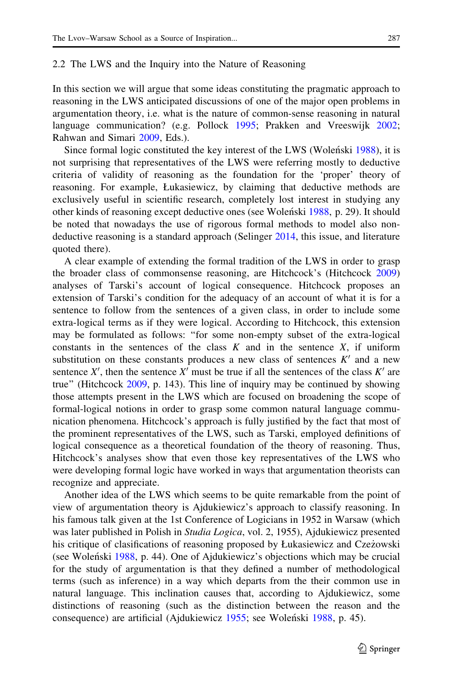#### <span id="page-4-0"></span>2.2 The LWS and the Inquiry into the Nature of Reasoning

In this section we will argue that some ideas constituting the pragmatic approach to reasoning in the LWS anticipated discussions of one of the major open problems in argumentation theory, i.e. what is the nature of common-sense reasoning in natural language communication? (e.g. Pollock [1995](#page-16-0); Prakken and Vreeswijk [2002;](#page-16-0) Rahwan and Simari [2009,](#page-16-0) Eds.).

Since formal logic constituted the key interest of the LWS (Wolenski [1988\)](#page-17-0), it is not surprising that representatives of the LWS were referring mostly to deductive criteria of validity of reasoning as the foundation for the 'proper' theory of reasoning. For example, Łukasiewicz, by claiming that deductive methods are exclusively useful in scientific research, completely lost interest in studying any other kinds of reasoning except deductive ones (see Wolen´ski [1988](#page-17-0), p. 29). It should be noted that nowadays the use of rigorous formal methods to model also nondeductive reasoning is a standard approach (Selinger [2014,](#page-16-0) this issue, and literature quoted there).

A clear example of extending the formal tradition of the LWS in order to grasp the broader class of commonsense reasoning, are Hitchcock's (Hitchcock [2009](#page-15-0)) analyses of Tarski's account of logical consequence. Hitchcock proposes an extension of Tarski's condition for the adequacy of an account of what it is for a sentence to follow from the sentences of a given class, in order to include some extra-logical terms as if they were logical. According to Hitchcock, this extension may be formulated as follows: ''for some non-empty subset of the extra-logical constants in the sentences of the class  $K$  and in the sentence  $X$ , if uniform substitution on these constants produces a new class of sentences  $K'$  and a new sentence  $X'$ , then the sentence  $X'$  must be true if all the sentences of the class  $K'$  are true'' (Hitchcock [2009,](#page-15-0) p. 143). This line of inquiry may be continued by showing those attempts present in the LWS which are focused on broadening the scope of formal-logical notions in order to grasp some common natural language communication phenomena. Hitchcock's approach is fully justified by the fact that most of the prominent representatives of the LWS, such as Tarski, employed definitions of logical consequence as a theoretical foundation of the theory of reasoning. Thus, Hitchcock's analyses show that even those key representatives of the LWS who were developing formal logic have worked in ways that argumentation theorists can recognize and appreciate.

Another idea of the LWS which seems to be quite remarkable from the point of view of argumentation theory is Ajdukiewicz's approach to classify reasoning. In his famous talk given at the 1st Conference of Logicians in 1952 in Warsaw (which was later published in Polish in Studia Logica, vol. 2, 1955), Ajdukiewicz presented his critique of clasifications of reasoning proposed by Łukasiewicz and Czeżowski (see Wolen´ski [1988](#page-17-0), p. 44). One of Ajdukiewicz's objections which may be crucial for the study of argumentation is that they defined a number of methodological terms (such as inference) in a way which departs from the their common use in natural language. This inclination causes that, according to Ajdukiewicz, some distinctions of reasoning (such as the distinction between the reason and the consequence) are artificial (Ajdukiewicz [1955](#page-14-0); see Wolen<sup>ski</sup> [1988,](#page-17-0) p. 45).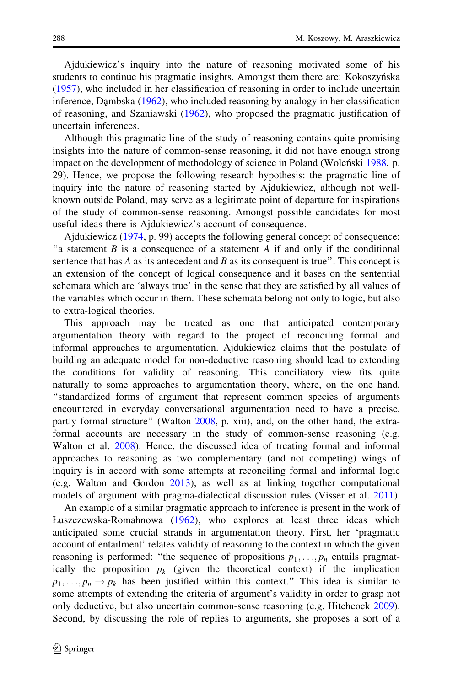Ajdukiewicz's inquiry into the nature of reasoning motivated some of his students to continue his pragmatic insights. Amongst them there are: Kokoszyńska [\(1957](#page-15-0)), who included in her classification of reasoning in order to include uncertain inference, Dambska ([1962\)](#page-15-0), who included reasoning by analogy in her classification of reasoning, and Szaniawski ([1962\)](#page-16-0), who proposed the pragmatic justification of uncertain inferences.

Although this pragmatic line of the study of reasoning contains quite promising insights into the nature of common-sense reasoning, it did not have enough strong impact on the development of methodology of science in Poland (Wolen´ski [1988](#page-17-0), p. 29). Hence, we propose the following research hypothesis: the pragmatic line of inquiry into the nature of reasoning started by Ajdukiewicz, although not wellknown outside Poland, may serve as a legitimate point of departure for inspirations of the study of common-sense reasoning. Amongst possible candidates for most useful ideas there is Ajdukiewicz's account of consequence.

Ajdukiewicz [\(1974](#page-14-0), p. 99) accepts the following general concept of consequence: "a statement  $B$  is a consequence of a statement  $A$  if and only if the conditional sentence that has  $A$  as its antecedent and  $B$  as its consequent is true". This concept is an extension of the concept of logical consequence and it bases on the sentential schemata which are 'always true' in the sense that they are satisfied by all values of the variables which occur in them. These schemata belong not only to logic, but also to extra-logical theories.

This approach may be treated as one that anticipated contemporary argumentation theory with regard to the project of reconciling formal and informal approaches to argumentation. Ajdukiewicz claims that the postulate of building an adequate model for non-deductive reasoning should lead to extending the conditions for validity of reasoning. This conciliatory view fits quite naturally to some approaches to argumentation theory, where, on the one hand, ''standardized forms of argument that represent common species of arguments encountered in everyday conversational argumentation need to have a precise, partly formal structure'' (Walton [2008](#page-16-0), p. xiii), and, on the other hand, the extraformal accounts are necessary in the study of common-sense reasoning (e.g. Walton et al. [2008](#page-17-0)). Hence, the discussed idea of treating formal and informal approaches to reasoning as two complementary (and not competing) wings of inquiry is in accord with some attempts at reconciling formal and informal logic (e.g. Walton and Gordon [2013\)](#page-16-0), as well as at linking together computational models of argument with pragma-dialectical discussion rules (Visser et al. [2011\)](#page-16-0).

An example of a similar pragmatic approach to inference is present in the work of Łuszczewska-Romahnowa ([1962\)](#page-16-0), who explores at least three ideas which anticipated some crucial strands in argumentation theory. First, her 'pragmatic account of entailment' relates validity of reasoning to the context in which the given reasoning is performed: "the sequence of propositions  $p_1, \ldots, p_n$  entails pragmatically the proposition  $p_k$  (given the theoretical context) if the implication  $p_1, \ldots, p_n \rightarrow p_k$  has been justified within this context." This idea is similar to some attempts of extending the criteria of argument's validity in order to grasp not only deductive, but also uncertain common-sense reasoning (e.g. Hitchcock [2009\)](#page-15-0). Second, by discussing the role of replies to arguments, she proposes a sort of a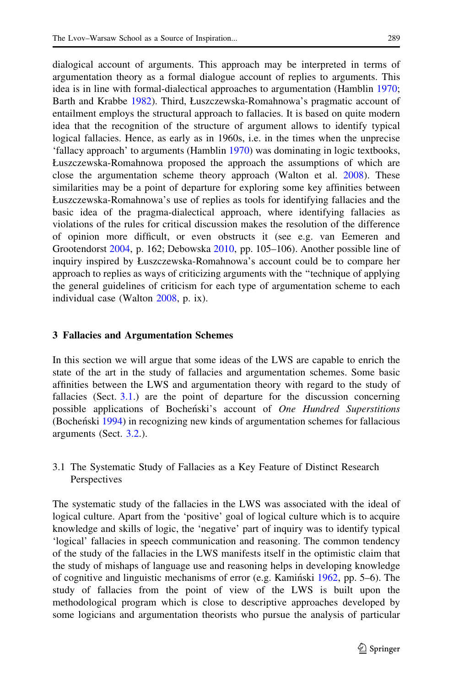<span id="page-6-0"></span>dialogical account of arguments. This approach may be interpreted in terms of argumentation theory as a formal dialogue account of replies to arguments. This idea is in line with formal-dialectical approaches to argumentation (Hamblin [1970;](#page-15-0) Barth and Krabbe [1982](#page-14-0)). Third, Łuszczewska-Romahnowa's pragmatic account of entailment employs the structural approach to fallacies. It is based on quite modern idea that the recognition of the structure of argument allows to identify typical logical fallacies. Hence, as early as in 1960s, i.e. in the times when the unprecise 'fallacy approach' to arguments (Hamblin [1970](#page-15-0)) was dominating in logic textbooks, Łuszczewska-Romahnowa proposed the approach the assumptions of which are close the argumentation scheme theory approach (Walton et al. [2008](#page-17-0)). These similarities may be a point of departure for exploring some key affinities between Łuszczewska-Romahnowa's use of replies as tools for identifying fallacies and the basic idea of the pragma-dialectical approach, where identifying fallacies as violations of the rules for critical discussion makes the resolution of the difference of opinion more difficult, or even obstructs it (see e.g. van Eemeren and Grootendorst [2004](#page-16-0), p. 162; Debowska [2010](#page-15-0), pp. 105–106). Another possible line of inquiry inspired by Łuszczewska-Romahnowa's account could be to compare her approach to replies as ways of criticizing arguments with the ''technique of applying the general guidelines of criticism for each type of argumentation scheme to each individual case (Walton [2008,](#page-16-0) p. ix).

## 3 Fallacies and Argumentation Schemes

In this section we will argue that some ideas of the LWS are capable to enrich the state of the art in the study of fallacies and argumentation schemes. Some basic affinities between the LWS and argumentation theory with regard to the study of fallacies (Sect. 3.1.) are the point of departure for the discussion concerning possible applications of Bochenski's account of One Hundred Superstitions (Bochen´ski [1994\)](#page-14-0) in recognizing new kinds of argumentation schemes for fallacious arguments (Sect. [3.2.](#page-7-0)).

3.1 The Systematic Study of Fallacies as a Key Feature of Distinct Research Perspectives

The systematic study of the fallacies in the LWS was associated with the ideal of logical culture. Apart from the 'positive' goal of logical culture which is to acquire knowledge and skills of logic, the 'negative' part of inquiry was to identify typical 'logical' fallacies in speech communication and reasoning. The common tendency of the study of the fallacies in the LWS manifests itself in the optimistic claim that the study of mishaps of language use and reasoning helps in developing knowledge of cognitive and linguistic mechanisms of error (e.g. Kamin´ski  $1962$ , pp. 5–6). The study of fallacies from the point of view of the LWS is built upon the methodological program which is close to descriptive approaches developed by some logicians and argumentation theorists who pursue the analysis of particular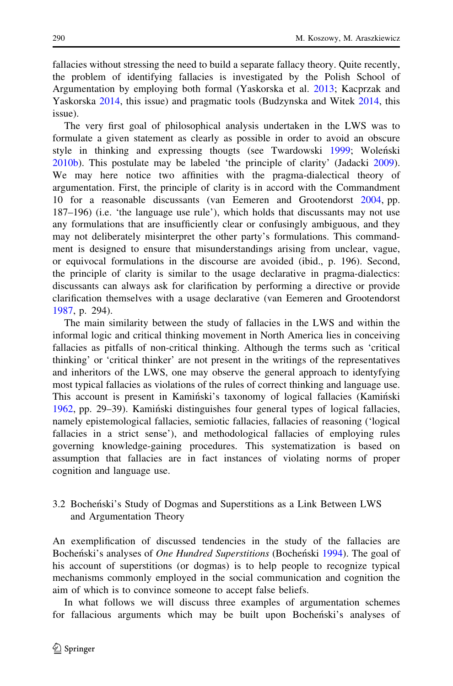<span id="page-7-0"></span>fallacies without stressing the need to build a separate fallacy theory. Quite recently, the problem of identifying fallacies is investigated by the Polish School of Argumentation by employing both formal (Yaskorska et al. [2013](#page-17-0); Kacprzak and Yaskorska [2014,](#page-15-0) this issue) and pragmatic tools (Budzynska and Witek [2014,](#page-15-0) this issue).

The very first goal of philosophical analysis undertaken in the LWS was to formulate a given statement as clearly as possible in order to avoid an obscure style in thinking and expressing thougts (see Twardowski [1999](#page-16-0); Wolen'ski [2010b\)](#page-17-0). This postulate may be labeled 'the principle of clarity' (Jadacki [2009\)](#page-15-0). We may here notice two affinities with the pragma-dialectical theory of argumentation. First, the principle of clarity is in accord with the Commandment 10 for a reasonable discussants (van Eemeren and Grootendorst [2004](#page-16-0), pp. 187–196) (i.e. 'the language use rule'), which holds that discussants may not use any formulations that are insufficiently clear or confusingly ambiguous, and they may not deliberately misinterpret the other party's formulations. This commandment is designed to ensure that misunderstandings arising from unclear, vague, or equivocal formulations in the discourse are avoided (ibid., p. 196). Second, the principle of clarity is similar to the usage declarative in pragma-dialectics: discussants can always ask for clarification by performing a directive or provide clarification themselves with a usage declarative (van Eemeren and Grootendorst [1987,](#page-16-0) p. 294).

The main similarity between the study of fallacies in the LWS and within the informal logic and critical thinking movement in North America lies in conceiving fallacies as pitfalls of non-critical thinking. Although the terms such as 'critical thinking' or 'critical thinker' are not present in the writings of the representatives and inheritors of the LWS, one may observe the general approach to identyfying most typical fallacies as violations of the rules of correct thinking and language use. This account is present in Kamiński's taxonomy of logical fallacies (Kamiński [1962,](#page-15-0) pp. 29–39). Kamin´ski distinguishes four general types of logical fallacies, namely epistemological fallacies, semiotic fallacies, fallacies of reasoning ('logical fallacies in a strict sense'), and methodological fallacies of employing rules governing knowledge-gaining procedures. This systematization is based on assumption that fallacies are in fact instances of violating norms of proper cognition and language use.

# 3.2 Bochen´ski's Study of Dogmas and Superstitions as a Link Between LWS and Argumentation Theory

An exemplification of discussed tendencies in the study of the fallacies are Bocheński's analyses of *One Hundred Superstitions* (Bocheński [1994\)](#page-14-0). The goal of his account of superstitions (or dogmas) is to help people to recognize typical mechanisms commonly employed in the social communication and cognition the aim of which is to convince someone to accept false beliefs.

In what follows we will discuss three examples of argumentation schemes for fallacious arguments which may be built upon Bochenski's analyses of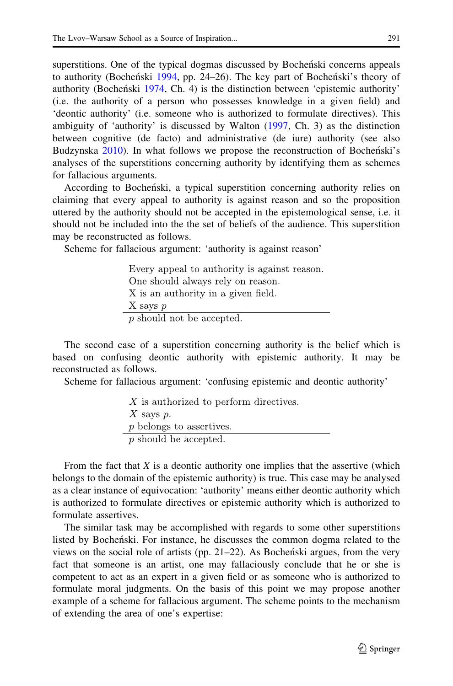superstitions. One of the typical dogmas discussed by Bochenski concerns appeals to authority (Bocheński [1994,](#page-14-0) pp. 24–26). The key part of Bocheński's theory of authority (Bochenski [1974,](#page-14-0) Ch. 4) is the distinction between 'epistemic authority' (i.e. the authority of a person who possesses knowledge in a given field) and 'deontic authority' (i.e. someone who is authorized to formulate directives). This ambiguity of 'authority' is discussed by Walton ([1997,](#page-16-0) Ch. 3) as the distinction between cognitive (de facto) and administrative (de iure) authority (see also Budzynska [2010](#page-15-0)). In what follows we propose the reconstruction of Bochenski's analyses of the superstitions concerning authority by identifying them as schemes for fallacious arguments.

According to Bochen´ski, a typical superstition concerning authority relies on claiming that every appeal to authority is against reason and so the proposition uttered by the authority should not be accepted in the epistemological sense, i.e. it should not be included into the the set of beliefs of the audience. This superstition may be reconstructed as follows.

Scheme for fallacious argument: 'authority is against reason'

Every appeal to authority is against reason. One should always rely on reason. X is an authority in a given field. X says  $p$  $p$  should not be accepted.

The second case of a superstition concerning authority is the belief which is based on confusing deontic authority with epistemic authority. It may be reconstructed as follows.

Scheme for fallacious argument: 'confusing epistemic and deontic authority'

```
X is authorized to perform directives.
X says p.
p belongs to assertives.
p should be accepted.
```
From the fact that  $X$  is a deontic authority one implies that the assertive (which belongs to the domain of the epistemic authority) is true. This case may be analysed as a clear instance of equivocation: 'authority' means either deontic authority which is authorized to formulate directives or epistemic authority which is authorized to formulate assertives.

The similar task may be accomplished with regards to some other superstitions listed by Bocheński. For instance, he discusses the common dogma related to the views on the social role of artists (pp.  $21-22$ ). As Bochenski argues, from the very fact that someone is an artist, one may fallaciously conclude that he or she is competent to act as an expert in a given field or as someone who is authorized to formulate moral judgments. On the basis of this point we may propose another example of a scheme for fallacious argument. The scheme points to the mechanism of extending the area of one's expertise: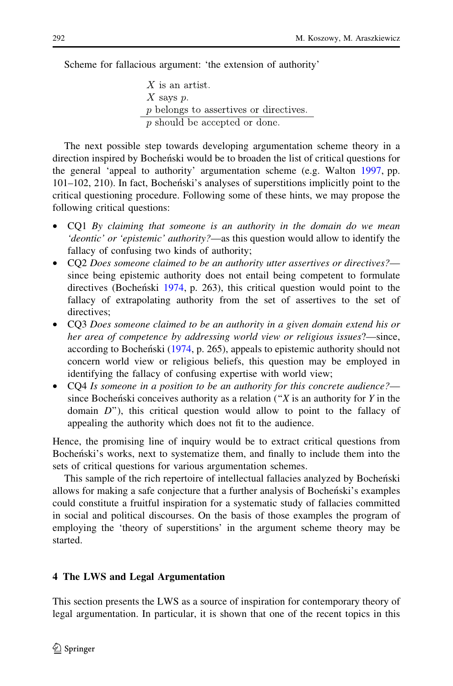<span id="page-9-0"></span>Scheme for fallacious argument: 'the extension of authority'

 $X$  is an artist.  $X$  says  $p$ .  $p$  belongs to assertives or directives.  $p$  should be accepted or done.

The next possible step towards developing argumentation scheme theory in a direction inspired by Bochenski would be to broaden the list of critical questions for the general 'appeal to authority' argumentation scheme (e.g. Walton [1997](#page-16-0), pp. 101–102, 210). In fact, Bochen´ski's analyses of superstitions implicitly point to the critical questioning procedure. Following some of these hints, we may propose the following critical questions:

- CQ1 By claiming that someone is an authority in the domain do we mean 'deontic' or 'epistemic' authority?—as this question would allow to identify the fallacy of confusing two kinds of authority;
- CQ2 Does someone claimed to be an authority utter assertives or directives? since being epistemic authority does not entail being competent to formulate directives (Bocheński [1974,](#page-14-0) p. 263), this critical question would point to the fallacy of extrapolating authority from the set of assertives to the set of directives;
- CQ3 Does someone claimed to be an authority in a given domain extend his or her area of competence by addressing world view or religious issues?—since, according to Bochenski ([1974,](#page-14-0) p. 265), appeals to epistemic authority should not concern world view or religious beliefs, this question may be employed in identifying the fallacy of confusing expertise with world view;
- CQ4 Is someone in a position to be an authority for this concrete audience? since Bocheński conceives authority as a relation (" $X$  is an authority for  $Y$  in the domain  $D^{\prime\prime}$ ), this critical question would allow to point to the fallacy of appealing the authority which does not fit to the audience.

Hence, the promising line of inquiry would be to extract critical questions from Bochenski's works, next to systematize them, and finally to include them into the sets of critical questions for various argumentation schemes.

This sample of the rich repertoire of intellectual fallacies analyzed by Bochenski allows for making a safe conjecture that a further analysis of Bochenski's examples could constitute a fruitful inspiration for a systematic study of fallacies committed in social and political discourses. On the basis of those examples the program of employing the 'theory of superstitions' in the argument scheme theory may be started.

### 4 The LWS and Legal Argumentation

This section presents the LWS as a source of inspiration for contemporary theory of legal argumentation. In particular, it is shown that one of the recent topics in this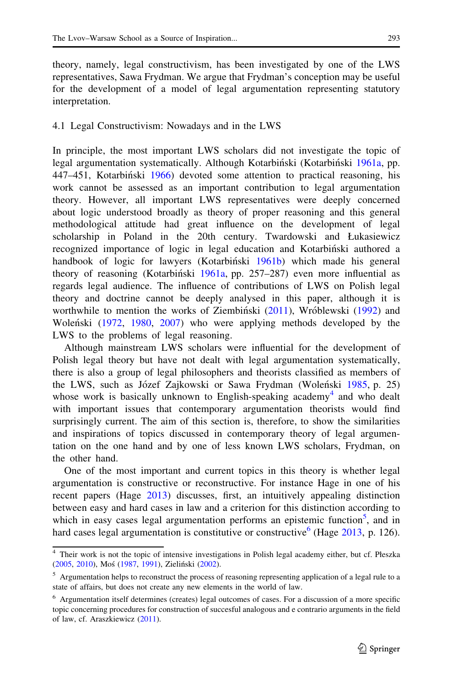theory, namely, legal constructivism, has been investigated by one of the LWS representatives, Sawa Frydman. We argue that Frydman's conception may be useful for the development of a model of legal argumentation representing statutory interpretation.

### 4.1 Legal Constructivism: Nowadays and in the LWS

In principle, the most important LWS scholars did not investigate the topic of legal argumentation systematically. Although Kotarbiński (Kotarbiński [1961a](#page-15-0), pp. 447–451, Kotarbin<sup>ski</sup> [1966\)](#page-15-0) devoted some attention to practical reasoning, his work cannot be assessed as an important contribution to legal argumentation theory. However, all important LWS representatives were deeply concerned about logic understood broadly as theory of proper reasoning and this general methodological attitude had great influence on the development of legal scholarship in Poland in the 20th century. Twardowski and Łukasiewicz recognized importance of logic in legal education and Kotarbiński authored a handbook of logic for lawyers (Kotarbinîski [1961b](#page-15-0)) which made his general theory of reasoning (Kotarbin´ski [1961a,](#page-15-0) pp. 257–287) even more influential as regards legal audience. The influence of contributions of LWS on Polish legal theory and doctrine cannot be deeply analysed in this paper, although it is worthwhile to mention the works of Ziembinski  $(2011)$  $(2011)$ , Wro´blewski [\(1992](#page-17-0)) and Wolen<sup>sk</sup>i ([1972,](#page-17-0) [1980,](#page-17-0) [2007](#page-17-0)) who were applying methods developed by the LWS to the problems of legal reasoning.

Although mainstream LWS scholars were influential for the development of Polish legal theory but have not dealt with legal argumentation systematically, there is also a group of legal philosophers and theorists classified as members of the LWS, such as Józef Zajkowski or Sawa Frydman (Wolenski [1985,](#page-17-0) p. 25) whose work is basically unknown to English-speaking academy<sup>4</sup> and who dealt with important issues that contemporary argumentation theorists would find surprisingly current. The aim of this section is, therefore, to show the similarities and inspirations of topics discussed in contemporary theory of legal argumentation on the one hand and by one of less known LWS scholars, Frydman, on the other hand.

One of the most important and current topics in this theory is whether legal argumentation is constructive or reconstructive. For instance Hage in one of his recent papers (Hage [2013](#page-15-0)) discusses, first, an intuitively appealing distinction between easy and hard cases in law and a criterion for this distinction according to which in easy cases legal argumentation performs an epistemic function<sup>5</sup>, and in hard cases legal argumentation is constitutive or constructive<sup>6</sup> (Hage  $2013$ , p. 126).

<sup>4</sup> Their work is not the topic of intensive investigations in Polish legal academy either, but cf. Płeszka ([2005,](#page-16-0) [2010](#page-16-0)), Moś ([1987,](#page-16-0) [1991](#page-16-0)), Zieliński [\(2002](#page-17-0)).

<sup>&</sup>lt;sup>5</sup> Argumentation helps to reconstruct the process of reasoning representing application of a legal rule to a state of affairs, but does not create any new elements in the world of law.

<sup>6</sup> Argumentation itself determines (creates) legal outcomes of cases. For a discussion of a more specific topic concerning procedures for construction of succesful analogous and e contrario arguments in the field of law, cf. Araszkiewicz ([2011\)](#page-14-0).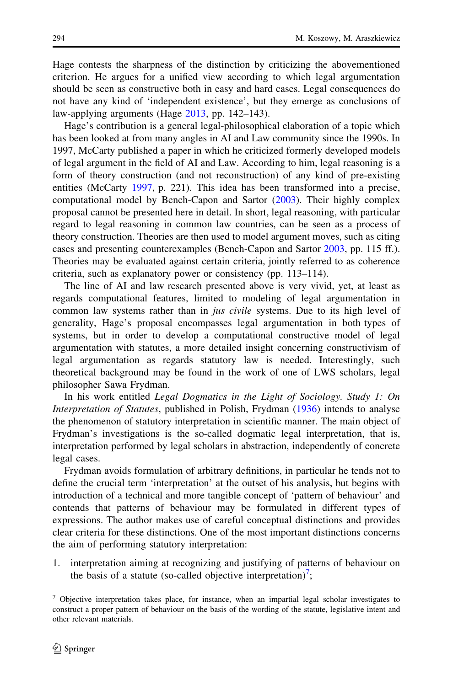Hage contests the sharpness of the distinction by criticizing the abovementioned criterion. He argues for a unified view according to which legal argumentation should be seen as constructive both in easy and hard cases. Legal consequences do not have any kind of 'independent existence', but they emerge as conclusions of law-applying arguments (Hage [2013,](#page-15-0) pp. 142–143).

Hage's contribution is a general legal-philosophical elaboration of a topic which has been looked at from many angles in AI and Law community since the 1990s. In 1997, McCarty published a paper in which he criticized formerly developed models of legal argument in the field of AI and Law. According to him, legal reasoning is a form of theory construction (and not reconstruction) of any kind of pre-existing entities (McCarty [1997,](#page-16-0) p. 221). This idea has been transformed into a precise, computational model by Bench-Capon and Sartor [\(2003](#page-14-0)). Their highly complex proposal cannot be presented here in detail. In short, legal reasoning, with particular regard to legal reasoning in common law countries, can be seen as a process of theory construction. Theories are then used to model argument moves, such as citing cases and presenting counterexamples (Bench-Capon and Sartor [2003](#page-14-0), pp. 115 ff.). Theories may be evaluated against certain criteria, jointly referred to as coherence criteria, such as explanatory power or consistency (pp. 113–114).

The line of AI and law research presented above is very vivid, yet, at least as regards computational features, limited to modeling of legal argumentation in common law systems rather than in *jus civile* systems. Due to its high level of generality, Hage's proposal encompasses legal argumentation in both types of systems, but in order to develop a computational constructive model of legal argumentation with statutes, a more detailed insight concerning constructivism of legal argumentation as regards statutory law is needed. Interestingly, such theoretical background may be found in the work of one of LWS scholars, legal philosopher Sawa Frydman.

In his work entitled Legal Dogmatics in the Light of Sociology. Study 1: On Interpretation of Statutes, published in Polish, Frydman ([1936\)](#page-15-0) intends to analyse the phenomenon of statutory interpretation in scientific manner. The main object of Frydman's investigations is the so-called dogmatic legal interpretation, that is, interpretation performed by legal scholars in abstraction, independently of concrete legal cases.

Frydman avoids formulation of arbitrary definitions, in particular he tends not to define the crucial term 'interpretation' at the outset of his analysis, but begins with introduction of a technical and more tangible concept of 'pattern of behaviour' and contends that patterns of behaviour may be formulated in different types of expressions. The author makes use of careful conceptual distinctions and provides clear criteria for these distinctions. One of the most important distinctions concerns the aim of performing statutory interpretation:

1. interpretation aiming at recognizing and justifying of patterns of behaviour on the basis of a statute (so-called objective interpretation)<sup>7</sup>;

<sup>&</sup>lt;sup>7</sup> Objective interpretation takes place, for instance, when an impartial legal scholar investigates to construct a proper pattern of behaviour on the basis of the wording of the statute, legislative intent and other relevant materials.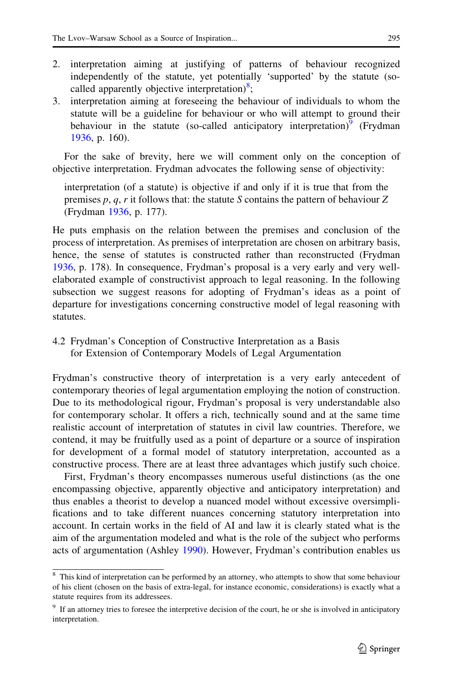- 2. interpretation aiming at justifying of patterns of behaviour recognized independently of the statute, yet potentially 'supported' by the statute (socalled apparently objective interpretation)<sup>8</sup>;
- 3. interpretation aiming at foreseeing the behaviour of individuals to whom the statute will be a guideline for behaviour or who will attempt to ground their behaviour in the statute (so-called anticipatory interpretation) $\degree$  (Frydman [1936](#page-15-0), p. 160).

For the sake of brevity, here we will comment only on the conception of objective interpretation. Frydman advocates the following sense of objectivity:

interpretation (of a statute) is objective if and only if it is true that from the premises  $p, q, r$  it follows that: the statute S contains the pattern of behaviour Z (Frydman [1936](#page-15-0), p. 177).

He puts emphasis on the relation between the premises and conclusion of the process of interpretation. As premises of interpretation are chosen on arbitrary basis, hence, the sense of statutes is constructed rather than reconstructed (Frydman [1936,](#page-15-0) p. 178). In consequence, Frydman's proposal is a very early and very wellelaborated example of constructivist approach to legal reasoning. In the following subsection we suggest reasons for adopting of Frydman's ideas as a point of departure for investigations concerning constructive model of legal reasoning with statutes.

4.2 Frydman's Conception of Constructive Interpretation as a Basis for Extension of Contemporary Models of Legal Argumentation

Frydman's constructive theory of interpretation is a very early antecedent of contemporary theories of legal argumentation employing the notion of construction. Due to its methodological rigour, Frydman's proposal is very understandable also for contemporary scholar. It offers a rich, technically sound and at the same time realistic account of interpretation of statutes in civil law countries. Therefore, we contend, it may be fruitfully used as a point of departure or a source of inspiration for development of a formal model of statutory interpretation, accounted as a constructive process. There are at least three advantages which justify such choice.

First, Frydman's theory encompasses numerous useful distinctions (as the one encompassing objective, apparently objective and anticipatory interpretation) and thus enables a theorist to develop a nuanced model without excessive oversimplifications and to take different nuances concerning statutory interpretation into account. In certain works in the field of AI and law it is clearly stated what is the aim of the argumentation modeled and what is the role of the subject who performs acts of argumentation (Ashley [1990\)](#page-14-0). However, Frydman's contribution enables us

<sup>&</sup>lt;sup>8</sup> This kind of interpretation can be performed by an attorney, who attempts to show that some behaviour of his client (chosen on the basis of extra-legal, for instance economic, considerations) is exactly what a statute requires from its addressees.

<sup>&</sup>lt;sup>9</sup> If an attorney tries to foresee the interpretive decision of the court, he or she is involved in anticipatory interpretation.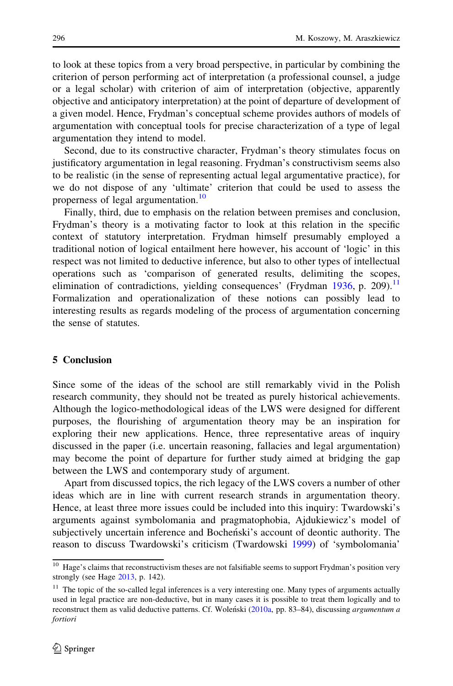to look at these topics from a very broad perspective, in particular by combining the criterion of person performing act of interpretation (a professional counsel, a judge or a legal scholar) with criterion of aim of interpretation (objective, apparently objective and anticipatory interpretation) at the point of departure of development of a given model. Hence, Frydman's conceptual scheme provides authors of models of argumentation with conceptual tools for precise characterization of a type of legal argumentation they intend to model.

Second, due to its constructive character, Frydman's theory stimulates focus on justificatory argumentation in legal reasoning. Frydman's constructivism seems also to be realistic (in the sense of representing actual legal argumentative practice), for we do not dispose of any 'ultimate' criterion that could be used to assess the properness of legal argumentation.<sup>10</sup>

Finally, third, due to emphasis on the relation between premises and conclusion, Frydman's theory is a motivating factor to look at this relation in the specific context of statutory interpretation. Frydman himself presumably employed a traditional notion of logical entailment here however, his account of 'logic' in this respect was not limited to deductive inference, but also to other types of intellectual operations such as 'comparison of generated results, delimiting the scopes, elimination of contradictions, yielding consequences' (Frydman  $1936$ , p. 209).<sup>11</sup> Formalization and operationalization of these notions can possibly lead to interesting results as regards modeling of the process of argumentation concerning the sense of statutes.

### 5 Conclusion

Since some of the ideas of the school are still remarkably vivid in the Polish research community, they should not be treated as purely historical achievements. Although the logico-methodological ideas of the LWS were designed for different purposes, the flourishing of argumentation theory may be an inspiration for exploring their new applications. Hence, three representative areas of inquiry discussed in the paper (i.e. uncertain reasoning, fallacies and legal argumentation) may become the point of departure for further study aimed at bridging the gap between the LWS and contemporary study of argument.

Apart from discussed topics, the rich legacy of the LWS covers a number of other ideas which are in line with current research strands in argumentation theory. Hence, at least three more issues could be included into this inquiry: Twardowski's arguments against symbolomania and pragmatophobia, Ajdukiewicz's model of subjectively uncertain inference and Bocheński's account of deontic authority. The reason to discuss Twardowski's criticism (Twardowski [1999](#page-16-0)) of 'symbolomania'

 $10$  Hage's claims that reconstructivism theses are not falsifiable seems to support Frydman's position very strongly (see Hage [2013,](#page-15-0) p. 142).

 $11$  The topic of the so-called legal inferences is a very interesting one. Many types of arguments actually used in legal practice are non-deductive, but in many cases it is possible to treat them logically and to reconstruct them as valid deductive patterns. Cf. Woleński ([2010a](#page-17-0), pp. 83-84), discussing argumentum a fortiori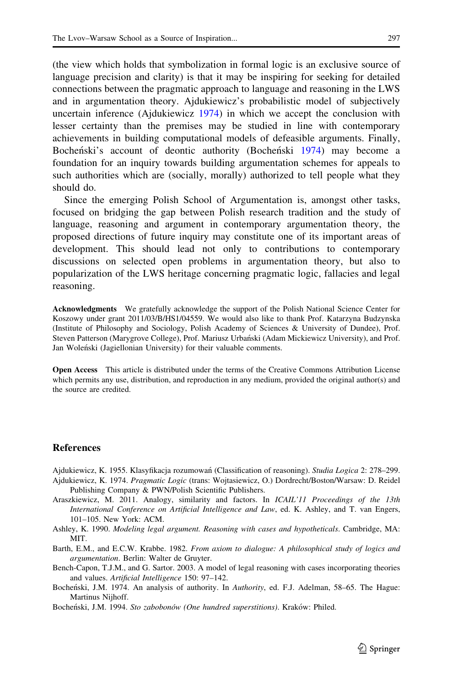<span id="page-14-0"></span>(the view which holds that symbolization in formal logic is an exclusive source of language precision and clarity) is that it may be inspiring for seeking for detailed connections between the pragmatic approach to language and reasoning in the LWS and in argumentation theory. Ajdukiewicz's probabilistic model of subjectively uncertain inference (Ajdukiewicz 1974) in which we accept the conclusion with lesser certainty than the premises may be studied in line with contemporary achievements in building computational models of defeasible arguments. Finally, Bochen´ski's account of deontic authority (Bochen´ski 1974) may become a foundation for an inquiry towards building argumentation schemes for appeals to such authorities which are (socially, morally) authorized to tell people what they should do.

Since the emerging Polish School of Argumentation is, amongst other tasks, focused on bridging the gap between Polish research tradition and the study of language, reasoning and argument in contemporary argumentation theory, the proposed directions of future inquiry may constitute one of its important areas of development. This should lead not only to contributions to contemporary discussions on selected open problems in argumentation theory, but also to popularization of the LWS heritage concerning pragmatic logic, fallacies and legal reasoning.

Acknowledgments We gratefully acknowledge the support of the Polish National Science Center for Koszowy under grant 2011/03/B/HS1/04559. We would also like to thank Prof. Katarzyna Budzynska (Institute of Philosophy and Sociology, Polish Academy of Sciences & University of Dundee), Prof. Steven Patterson (Marygrove College), Prof. Mariusz Urban´ski (Adam Mickiewicz University), and Prof. Jan Woleński (Jagiellonian University) for their valuable comments.

Open Access This article is distributed under the terms of the Creative Commons Attribution License which permits any use, distribution, and reproduction in any medium, provided the original author(s) and the source are credited.

#### References

Ajdukiewicz, K. 1955. Klasyfikacja rozumowan´ (Classification of reasoning). Studia Logica 2: 278–299.

- Ajdukiewicz, K. 1974. Pragmatic Logic (trans: Wojtasiewicz, O.) Dordrecht/Boston/Warsaw: D. Reidel Publishing Company & PWN/Polish Scientific Publishers.
- Araszkiewicz, M. 2011. Analogy, similarity and factors. In ICAIL'11 Proceedings of the 13th International Conference on Artificial Intelligence and Law, ed. K. Ashley, and T. van Engers, 101–105. New York: ACM.
- Ashley, K. 1990. Modeling legal argument. Reasoning with cases and hypotheticals. Cambridge, MA: MIT.
- Barth, E.M., and E.C.W. Krabbe. 1982. From axiom to dialogue: A philosophical study of logics and argumentation. Berlin: Walter de Gruyter.
- Bench-Capon, T.J.M., and G. Sartor. 2003. A model of legal reasoning with cases incorporating theories and values. Artificial Intelligence 150: 97–142.
- Bocheński, J.M. 1974. An analysis of authority. In Authority, ed. F.J. Adelman, 58–65. The Hague: Martinus Nijhoff.
- Bocheński, J.M. 1994. Sto zabobonów (One hundred superstitions). Kraków: Philed.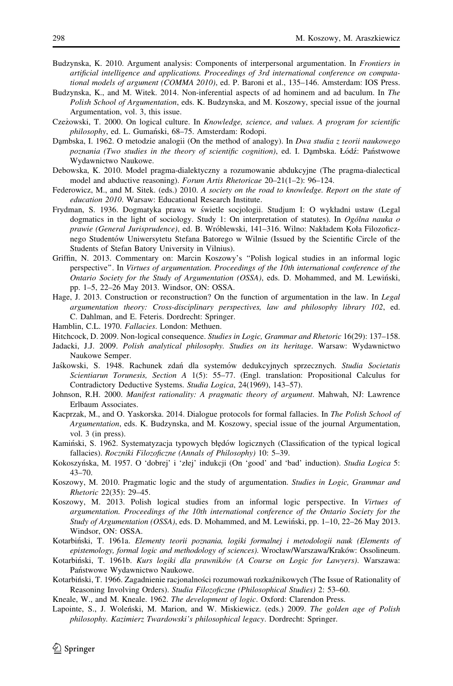- <span id="page-15-0"></span>Budzynska, K. 2010. Argument analysis: Components of interpersonal argumentation. In Frontiers in artificial intelligence and applications. Proceedings of 3rd international conference on computational models of argument (COMMA 2010), ed. P. Baroni et al., 135-146. Amsterdam: IOS Press.
- Budzynska, K., and M. Witek. 2014. Non-inferential aspects of ad hominem and ad baculum. In The Polish School of Argumentation, eds. K. Budzynska, and M. Koszowy, special issue of the journal Argumentation, vol. 3, this issue.
- Czezowski, T. 2000. On logical culture. In *Knowledge, science, and values. A program for scientific* philosophy, ed. L. Gumański, 68–75. Amsterdam: Rodopi.
- Dambska, I. 1962. O metodzie analogii (On the method of analogy). In Dwa studia z teorii naukowego poznania (Two studies in the theory of scientific cognition), ed. I. Dambska. Łódź: Państwowe Wydawnictwo Naukowe.
- Debowska, K. 2010. Model pragma-dialektyczny a rozumowanie abdukcyjne (The pragma-dialectical model and abductive reasoning). Forum Artis Rhetoricae 20–21(1–2): 96–124.
- Federowicz, M., and M. Sitek. (eds.) 2010. A society on the road to knowledge. Report on the state of education 2010. Warsaw: Educational Research Institute.
- Frydman, S. 1936. Dogmatyka prawa w świetle socjologii. Studjum I: O wykładni ustaw (Legal dogmatics in the light of sociology. Study 1: On interpretation of statutes). In Ogólna nauka o prawie (General Jurisprudence), ed. B. Wróblewski, 141-316. Wilno: Nakładem Koła Filozoficznego Studentów Uniwersytetu Stefana Batorego w Wilnie (Issued by the Scientific Circle of the Students of Stefan Batory University in Vilnius).
- Griffin, N. 2013. Commentary on: Marcin Koszowy's ''Polish logical studies in an informal logic perspective''. In Virtues of argumentation. Proceedings of the 10th international conference of the Ontario Society for the Study of Argumentation (OSSA), eds. D. Mohammed, and M. Lewiński, pp. 1–5, 22–26 May 2013. Windsor, ON: OSSA.
- Hage, J. 2013. Construction or reconstruction? On the function of argumentation in the law. In Legal argumentation theory: Cross-disciplinary perspectives, law and philosophy library 102, ed. C. Dahlman, and E. Feteris. Dordrecht: Springer.
- Hamblin, C.L. 1970. Fallacies. London: Methuen.
- Hitchcock, D. 2009. Non-logical consequence. Studies in Logic, Grammar and Rhetoric 16(29): 137–158.
- Jadacki, J.J. 2009. Polish analytical philosophy. Studies on its heritage. Warsaw: Wydawnictwo Naukowe Semper.
- Jaśkowski, S. 1948. Rachunek zdań dla systemów dedukcyjnych sprzecznych. Studia Societatis Scientiarun Torunesis, Section A 1(5): 55–77. (Engl. translation: Propositional Calculus for Contradictory Deductive Systems. Studia Logica, 24(1969), 143–57).
- Johnson, R.H. 2000. Manifest rationality: A pragmatic theory of argument. Mahwah, NJ: Lawrence Erlbaum Associates.
- Kacprzak, M., and O. Yaskorska. 2014. Dialogue protocols for formal fallacies. In The Polish School of Argumentation, eds. K. Budzynska, and M. Koszowy, special issue of the journal Argumentation, vol. 3 (in press).
- Kamiński, S. 1962. Systematyzacja typowych błedów logicznych (Classification of the typical logical fallacies). Roczniki Filozoficzne (Annals of Philosophy) 10: 5–39.
- Kokoszyńska, M. 1957. O 'dobrej' i 'złej' indukcji (On 'good' and 'bad' induction). Studia Logica 5: 43–70.
- Koszowy, M. 2010. Pragmatic logic and the study of argumentation. Studies in Logic, Grammar and Rhetoric 22(35): 29–45.
- Koszowy, M. 2013. Polish logical studies from an informal logic perspective. In Virtues of argumentation. Proceedings of the 10th international conference of the Ontario Society for the Study of Argumentation (OSSA), eds. D. Mohammed, and M. Lewiński, pp. 1-10, 22-26 May 2013. Windsor, ON: OSSA.
- Kotarbiński, T. 1961a. Elementy teorii poznania, logiki formalnej i metodologii nauk (Elements of epistemology, formal logic and methodology of sciences). Wrocław/Warszawa/Kraków: Ossolineum.
- Kotarbiński, T. 1961b. Kurs logiki dla prawników (A Course on Logic for Lawyers). Warszawa: Państwowe Wydawnictwo Naukowe.
- Kotarbiński, T. 1966. Zagadnienie racjonalności rozumowań rozkaźnikowych (The Issue of Rationality of Reasoning Involving Orders). Studia Filozoficzne (Philosophical Studies) 2: 53–60.
- Kneale, W., and M. Kneale. 1962. The development of logic. Oxford: Clarendon Press.
- Lapointe, S., J. Woleński, M. Marion, and W. Miskiewicz. (eds.) 2009. The golden age of Polish philosophy. Kazimierz Twardowski's philosophical legacy. Dordrecht: Springer.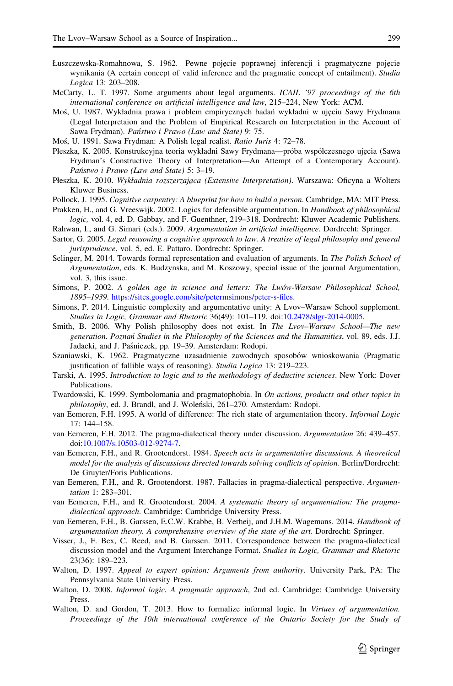- <span id="page-16-0"></span>Łuszczewska-Romahnowa, S. 1962. Pewne pojęcie poprawnej inferencji i pragmatyczne pojęcie wynikania (A certain concept of valid inference and the pragmatic concept of entailment). Studia Logica 13: 203–208.
- McCarty, L. T. 1997. Some arguments about legal arguments. ICAIL '97 proceedings of the 6th international conference on artificial intelligence and law, 215–224, New York: ACM.
- Moś, U. 1987. Wykładnia prawa i problem empirycznych badań wykładni w ujęciu Sawy Frydmana (Legal Interpretaion and the Problem of Empirical Research on Interpretation in the Account of Sawa Frydman). Państwo i Prawo (Law and State) 9: 75.
- Mos´, U. 1991. Sawa Frydman: A Polish legal realist. Ratio Juris 4: 72–78.
- Płeszka, K. 2005. Konstrukcyjna teoria wykładni Sawy Frydmana-próba współczesnego ujęcia (Sawa Frydman's Constructive Theory of Interpretation—An Attempt of a Contemporary Account). Państwo i Prawo (Law and State) 5: 3–19.
- Płeszka, K. 2010. Wykładnia rozszerzajaca (Extensive Interpretation). Warszawa: Oficyna a Wolters Kluwer Business.
- Pollock, J. 1995. Cognitive carpentry: A blueprint for how to build a person. Cambridge, MA: MIT Press.
- Prakken, H., and G. Vreeswijk. 2002. Logics for defeasible argumentation. In Handbook of philosophical
- logic, vol. 4, ed. D. Gabbay, and F. Guenthner, 219–318. Dordrecht: Kluwer Academic Publishers. Rahwan, I., and G. Simari (eds.). 2009. Argumentation in artificial intelligence. Dordrecht: Springer.
- Sartor, G. 2005. Legal reasoning a cognitive approach to law. A treatise of legal philosophy and general jurisprudence, vol. 5, ed. E. Pattaro. Dordrecht: Springer.
- Selinger, M. 2014. Towards formal representation and evaluation of arguments. In The Polish School of Argumentation, eds. K. Budzynska, and M. Koszowy, special issue of the journal Argumentation, vol. 3, this issue.
- Simons, P. 2002. A golden age in science and letters: The Lwów-Warsaw Philosophical School, 1895–1939. <https://sites.google.com/site/petermsimons/peter-s-files>.
- Simons, P. 2014. Linguistic complexity and argumentative unity: A Lvov–Warsaw School supplement. Studies in Logic, Grammar and Rhetoric 36(49): 101–119. doi:[10.2478/slgr-2014-0005.](http://dx.doi.org/10.2478/slgr-2014-0005)
- Smith, B. 2006. Why Polish philosophy does not exist. In The Lvov–Warsaw School–The new generation. Poznań Studies in the Philosophy of the Sciences and the Humanities, vol. 89, eds. J.J. Jadacki, and J. Paśniczek, pp. 19-39. Amsterdam: Rodopi.
- Szaniawski, K. 1962. Pragmatyczne uzasadnienie zawodnych sposobów wnioskowania (Pragmatic justification of fallible ways of reasoning). Studia Logica 13: 219–223.
- Tarski, A. 1995. Introduction to logic and to the methodology of deductive sciences. New York: Dover **Publications**
- Twardowski, K. 1999. Symbolomania and pragmatophobia. In On actions, products and other topics in philosophy, ed. J. Brandl, and J. Wolen´ski, 261–270. Amsterdam: Rodopi.
- van Eemeren, F.H. 1995. A world of difference: The rich state of argumentation theory. Informal Logic 17: 144–158.
- van Eemeren, F.H. 2012. The pragma-dialectical theory under discussion. Argumentation 26: 439–457. doi[:10.1007/s.10503-012-9274-7](http://dx.doi.org/10.1007/s.10503-012-9274-7).
- van Eemeren, F.H., and R. Grootendorst. 1984. Speech acts in argumentative discussions. A theoretical model for the analysis of discussions directed towards solving conflicts of opinion. Berlin/Dordrecht: De Gruyter/Foris Publications.
- van Eemeren, F.H., and R. Grootendorst. 1987. Fallacies in pragma-dialectical perspective. Argumentation 1: 283–301.
- van Eemeren, F.H., and R. Grootendorst. 2004. A systematic theory of argumentation: The pragmadialectical approach. Cambridge: Cambridge University Press.
- van Eemeren, F.H., B. Garssen, E.C.W. Krabbe, B. Verheij, and J.H.M. Wagemans. 2014. Handbook of argumentation theory. A comprehensive overview of the state of the art. Dordrecht: Springer.
- Visser, J., F. Bex, C. Reed, and B. Garssen. 2011. Correspondence between the pragma-dialectical discussion model and the Argument Interchange Format. Studies in Logic, Grammar and Rhetoric 23(36): 189–223.
- Walton, D. 1997. Appeal to expert opinion: Arguments from authority. University Park, PA: The Pennsylvania State University Press.
- Walton, D. 2008. Informal logic. A pragmatic approach, 2nd ed. Cambridge: Cambridge University Press.
- Walton, D. and Gordon, T. 2013. How to formalize informal logic. In Virtues of argumentation. Proceedings of the 10th international conference of the Ontario Society for the Study of